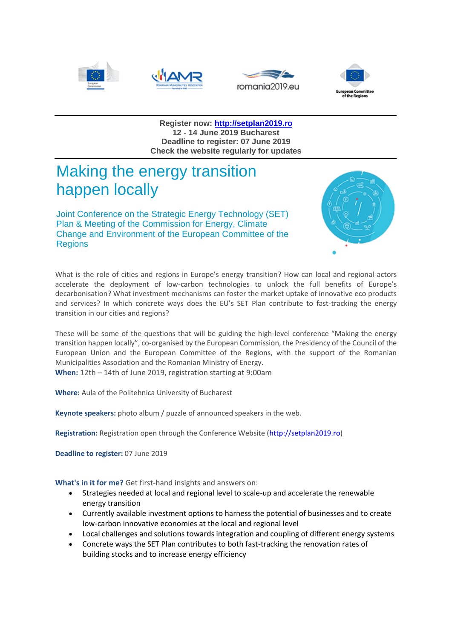







**Register now: [http://setplan2019.ro](http://setplan2019.ro/) 12 - 14 June 2019 Bucharest Deadline to register: 07 June 2019 Check the website regularly for updates**

## Making the energy transition happen locally

Joint Conference on the Strategic Energy Technology (SET) Plan & Meeting of the Commission for Energy, Climate Change and Environment of the European Committee of the **Regions** 



What is the role of cities and regions in Europe's energy transition? How can local and regional actors accelerate the deployment of low-carbon technologies to unlock the full benefits of Europe's decarbonisation? What investment mechanisms can foster the market uptake of innovative eco products and services? In which concrete ways does the EU's SET Plan contribute to fast-tracking the energy transition in our cities and regions?

These will be some of the questions that will be guiding the high-level conference "Making the energy transition happen locally", co-organised by the European Commission, the Presidency of the Council of the European Union and the European Committee of the Regions, with the support of the Romanian Municipalities Association and the Romanian Ministry of Energy.

**When:** 12th – 14th of June 2019, registration starting at 9:00am

**Where:** Aula of the Politehnica University of Bucharest

**Keynote speakers:** photo album / puzzle of announced speakers in the web.

**Registration:** Registration open through the Conference Website [\(http://setplan2019.ro\)](http://setplan2019.ro/)

**Deadline to register:** 07 June 2019

**What's in it for me?** Get first-hand insights and answers on:

- Strategies needed at local and regional level to scale-up and accelerate the renewable energy transition
- Currently available investment options to harness the potential of businesses and to create low-carbon innovative economies at the local and regional level
- Local challenges and solutions towards integration and coupling of different energy systems
- Concrete ways the SET Plan contributes to both fast-tracking the renovation rates of building stocks and to increase energy efficiency